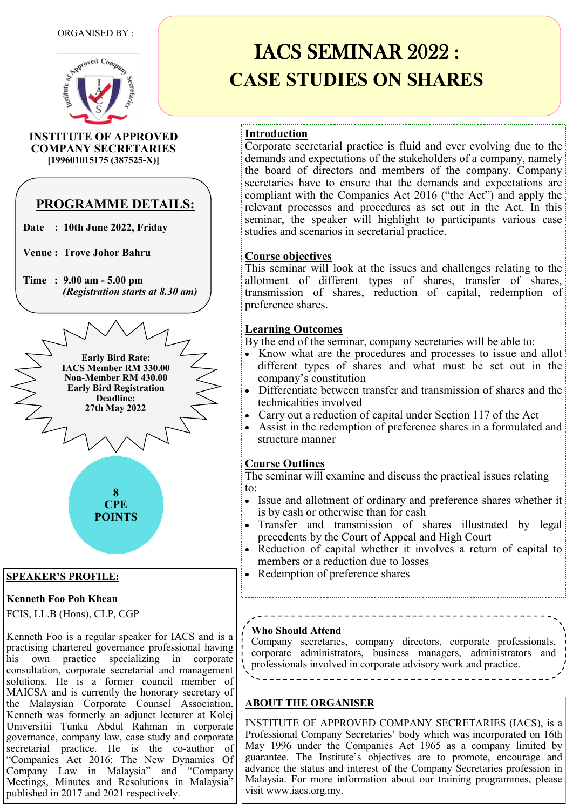

**INSTITUTE OF APPROVED COMPANY SECRETARIES [199601015175 (387525-X)]**

# **PROGRAMME DETAILS:**

**Date : 10th June 2022, Friday**

**Venue : Trove Johor Bahru** 

**Time : 9.00 am - 5.00 pm**  *(Registration starts at 8.30 am)*



## **SPEAKER'S PROFILE:**

## **Kenneth Foo Poh Khean**

FCIS, LL.B (Hons), CLP, CGP

Kenneth Foo is a regular speaker for IACS and is a practising chartered governance professional having his own practice specializing in corporate consultation, corporate secretarial and management solutions. He is a former council member of MAICSA and is currently the honorary secretary of the Malaysian Corporate Counsel Association. Kenneth was formerly an adjunct lecturer at Kolej Universitii Tunku Abdul Rahman in corporate governance, company law, case study and corporate secretarial practice. He is the co-author of "Companies Act 2016: The New Dynamics Of Company Law in Malaysia" and "Company Meetings, Minutes and Resolutions in Malaysia" published in 2017 and 2021 respectively.

# IACS SEMINAR 2022 : **CASE STUDIES ON SHARES**

# **Introduction**

Corporate secretarial practice is fluid and ever evolving due to the demands and expectations of the stakeholders of a company, namely the board of directors and members of the company. Company secretaries have to ensure that the demands and expectations are compliant with the Companies Act 2016 ("the Act") and apply the relevant processes and procedures as set out in the Act. In this seminar, the speaker will highlight to participants various case studies and scenarios in secretarial practice.

## **Course objectives**

This seminar will look at the issues and challenges relating to the allotment of different types of shares, transfer of shares, transmission of shares, reduction of capital, redemption of preference shares.

## **Learning Outcomes**

By the end of the seminar, company secretaries will be able to:

- Know what are the procedures and processes to issue and allot different types of shares and what must be set out in the company"s constitution
- Differentiate between transfer and transmission of shares and the technicalities involved
- Carry out a reduction of capital under Section 117 of the Act
- Assist in the redemption of preference shares in a formulated and structure manner

## **Course Outlines**

The seminar will examine and discuss the practical issues relating to:

- Issue and allotment of ordinary and preference shares whether it is by cash or otherwise than for cash
- Transfer and transmission of shares illustrated by legal precedents by the Court of Appeal and High Court
- Reduction of capital whether it involves a return of capital to members or a reduction due to losses

• Redemption of preference shares

### **Who Should Attend**

Company secretaries, company directors, corporate professionals, corporate administrators, business managers, administrators and professionals involved in corporate advisory work and practice.

# **ABOUT THE ORGANISER**

INSTITUTE OF APPROVED COMPANY SECRETARIES (IACS), is a Professional Company Secretaries' body which was incorporated on 16th May 1996 under the Companies Act 1965 as a company limited by guarantee. The Institute"s objectives are to promote, encourage and advance the status and interest of the Company Secretaries profession in Malaysia. For more information about our training programmes, please visit www.iacs.org.my.